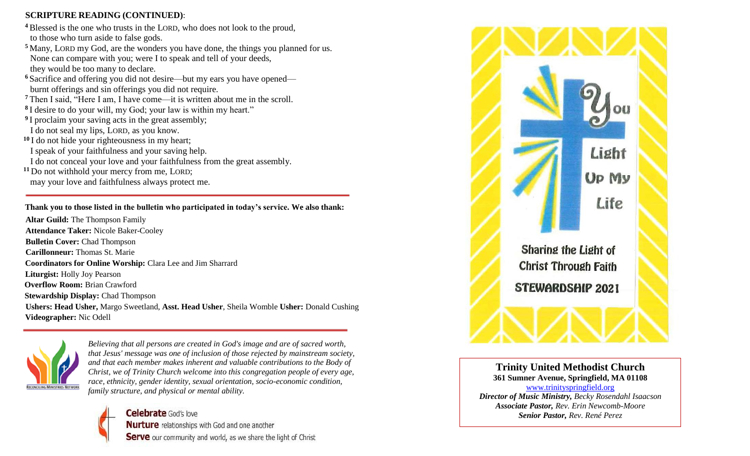# **SCRIPTURE READING (CONTINUED)**:

- **<sup>4</sup>** Blessed is the one who trusts in the LORD, who does not look to the proud, to those who turn aside to false gods.
- **<sup>5</sup>** Many, LORD my God, are the wonders you have done, the things you planned for us. None can compare with you; were I to speak and tell of your deeds, they would be too many to declare.
- **<sup>6</sup>** Sacrifice and offering you did not desire—but my ears you have opened burnt offerings and sin offerings you did not require.
- **<sup>7</sup>** Then I said, "Here I am, I have come—it is written about me in the scroll.
- **8** I desire to do your will, my God; your law is within my heart."
- <sup>9</sup>I proclaim your saving acts in the great assembly;
- I do not seal my lips, LORD, as you know.
- **<sup>10</sup>** I do not hide your righteousness in my heart;
- I speak of your faithfulness and your saving help.
- I do not conceal your love and your faithfulness from the great assembly.
- **<sup>11</sup>** Do not withhold your mercy from me, LORD; may your love and faithfulness always protect me.

# **Thank you to those listed in the bulletin who participated in today's service. We also thank:**

**Altar Guild:** The Thompson Family **Attendance Taker:** Nicole Baker-Cooley **Bulletin Cover:** Chad Thompson **Carillonneur:** Thomas St. Marie  **Coordinators for Online Worship:** Clara Lee and Jim Sharrard **Liturgist:** Holly Joy Pearson  **Overflow Room:** Brian Crawford **Stewardship Display:** Chad Thompson **Ushers: Head Usher,** Margo Sweetland, **Asst. Head Usher**, Sheila Womble **Usher:** Donald Cushing  **Videographer:** Nic Odell



*Believing that all persons are created in God's image and are of sacred worth, that Jesus' message was one of inclusion of those rejected by mainstream society, and that each member makes inherent and valuable contributions to the Body of Christ, we of Trinity Church welcome into this congregation people of every age, race, ethnicity, gender identity, sexual orientation, socio-economic condition, family structure, and physical or mental ability.*





**Trinity United Methodist Church 361 Sumner Avenue, Springfield, MA 01108** [www.trinityspringfield.org](http://www.trinityspringfield.org/) *Director of Music Ministry, Becky Rosendahl Isaacson Associate Pastor, Rev. Erin Newcomb-Moore Senior Pastor, Rev. René Perez*